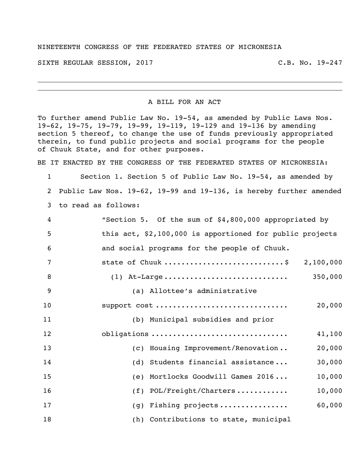## NINETEENTH CONGRESS OF THE FEDERATED STATES OF MICRONESIA

SIXTH REGULAR SESSION, 2017 THE REGULAR SESSION, 2017

A BILL FOR AN ACT

To further amend Public Law No. 19-54, as amended by Public Laws Nos. 19-62, 19-75, 19-79, 19-99, 19-119, 19-129 and 19-136 by amending section 5 thereof, to change the use of funds previously appropriated therein, to fund public projects and social programs for the people of Chuuk State, and for other purposes.

BE IT ENACTED BY THE CONGRESS OF THE FEDERATED STATES OF MICRONESIA:

 Section 1. Section 5 of Public Law No. 19-54, as amended by Public Law Nos. 19-62, 19-99 and 19-136, is hereby further amended to read as follows:

| 4  | "Section 5. Of the sum of \$4,800,000 appropriated by    |
|----|----------------------------------------------------------|
| 5  | this act, \$2,100,000 is apportioned for public projects |
| 6  | and social programs for the people of Chuuk.             |
| 7  | state of Chuuk \$ 2,100,000                              |
| 8  | 350,000                                                  |
| 9  | (a) Allottee's administrative                            |
| 10 | support cost<br>20,000                                   |
| 11 | (b) Municipal subsidies and prior                        |
| 12 | obligations<br>41,100                                    |
| 13 | (c) Housing Improvement/Renovation<br>20,000             |
| 14 | (d) Students financial assistance<br>30,000              |
| 15 | (e) Mortlocks Goodwill Games 2016<br>10,000              |
| 16 | 10,000<br>$(f)$ POL/Freight/Charters                     |
| 17 | 60,000<br>(g) Fishing projects                           |
| 18 | (h) Contributions to state, municipal                    |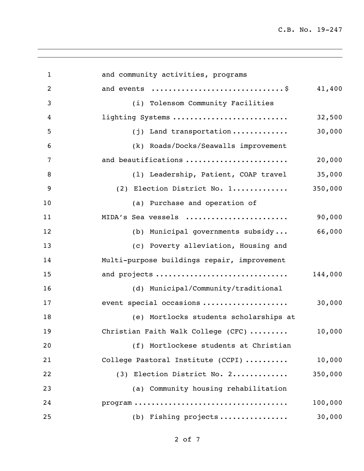| $\mathbf{1}$   | and community activities, programs                                                         |         |
|----------------|--------------------------------------------------------------------------------------------|---------|
| $\overline{2}$ | and events \$                                                                              | 41,400  |
| 3              | (i) Tolensom Community Facilities                                                          |         |
| 4              | lighting Systems                                                                           | 32,500  |
| 5              | $(j)$ Land transportation                                                                  | 30,000  |
| 6              | (k) Roads/Docks/Seawalls improvement                                                       |         |
| $\overline{7}$ | and beautifications                                                                        | 20,000  |
| 8              | (1) Leadership, Patient, COAP travel                                                       | 35,000  |
| 9              | (2) Election District No. 1                                                                | 350,000 |
| 10             | (a) Purchase and operation of                                                              |         |
| 11             | MIDA's Sea vessels                                                                         | 90,000  |
| 12             | (b) Municipal governments subsidy                                                          | 66,000  |
| 13             | (c) Poverty alleviation, Housing and                                                       |         |
| 14             | Multi-purpose buildings repair, improvement                                                |         |
| 15             | and projects                                                                               | 144,000 |
| 16             | (d) Municipal/Community/traditional                                                        |         |
| 17             | event special occasions                                                                    | 30,000  |
| 18             | (e) Mortlocks students scholarships at                                                     |         |
| 19             | Christian Faith Walk College (CFC)                                                         | 10,000  |
| 20             | (f) Mortlockese students at Christian                                                      |         |
| 21             | College Pastoral Institute (CCPI)                                                          | 10,000  |
| 22             | (3) Election District No. 2                                                                | 350,000 |
| 23             | (a) Community housing rehabilitation                                                       |         |
| 24             | $\texttt{program} \dots \dots \dots \dots \dots \dots \dots \dots \dots \dots \dots \dots$ | 100,000 |
| 25             | (b) Fishing projects                                                                       | 30,000  |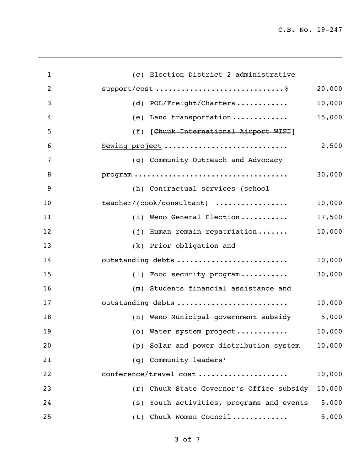| $\mathbf{1}$   | (c) Election District 2 administrative                                                         |
|----------------|------------------------------------------------------------------------------------------------|
| $\overline{2}$ | 20,000                                                                                         |
| 3              | 10,000<br>(d) POL/Freight/Charters                                                             |
| 4              | 15,000<br>(e) Land transportation                                                              |
| 5              | (f) [Chuuk International Airport WIFI]                                                         |
| 6              | Sewing project<br>2,500                                                                        |
| 7              | (g) Community Outreach and Advocacy                                                            |
| 8              | $\texttt{program} \dots \dots \dots \dots \dots \dots \dots \dots \dots \dots \dots$<br>30,000 |
| 9              | (h) Contractual services (school                                                               |
| 10             | teacher/(cook/consultant)<br>10,000                                                            |
| 11             | 17,500<br>(i) Weno General Election                                                            |
| 12             | 10,000<br>(j) Human remain repatriation                                                        |
| 13             | (k) Prior obligation and                                                                       |
| 14             | outstanding debts<br>10,000                                                                    |
| 15             | 30,000<br>(1) Food security program                                                            |
| 16             | (m) Students financial assistance and                                                          |
| 17             | outstanding debts<br>10,000                                                                    |
| 18             | 5,000<br>(n) Weno Municipal government subsidy                                                 |
| 19             | (o) Water system project<br>10,000                                                             |
| 20             | (p) Solar and power distribution system<br>10,000                                              |
| 21             | (q) Community leaders'                                                                         |
| 22             | conference/travel cost<br>10,000                                                               |
| 23             | (r) Chuuk State Governor's Office subsidy<br>10,000                                            |
| 24             | (s) Youth activities, programs and events<br>5,000                                             |
| 25             | (t) Chuuk Women Council<br>5,000                                                               |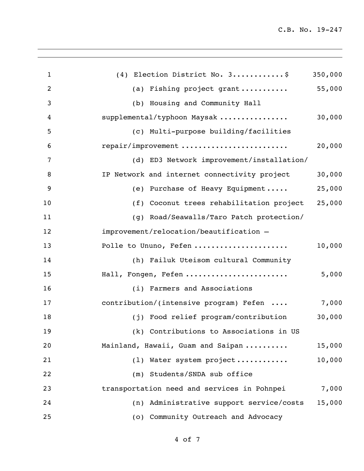| $\mathbf{1}$   | (4) Election District No. 3\$                | 350,000 |
|----------------|----------------------------------------------|---------|
| $\overline{2}$ | (a) Fishing project grant                    | 55,000  |
| 3              | (b) Housing and Community Hall               |         |
| 4              | supplemental/typhoon Maysak                  | 30,000  |
| 5              | (c) Multi-purpose building/facilities        |         |
| 6              | repair/improvement                           | 20,000  |
| 7              | (d) ED3 Network improvement/installation/    |         |
| 8              | IP Network and internet connectivity project | 30,000  |
| 9              | (e) Purchase of Heavy Equipment              | 25,000  |
| 10             | (f) Coconut trees rehabilitation project     | 25,000  |
| 11             | (g) Road/Seawalls/Taro Patch protection/     |         |
| 12             | improvement/relocation/beautification -      |         |
| 13             | Polle to Ununo, Fefen                        | 10,000  |
| 14             | (h) Failuk Uteisom cultural Community        |         |
| 15             | Hall, Fongen, Fefen                          | 5,000   |
| 16             | (i) Farmers and Associations                 |         |
| 17             | contribution/(intensive program) Fefen       | 7,000   |
| 18             | (j) Food relief program/contribution         | 30,000  |
| 19             | (k) Contributions to Associations in US      |         |
| 20             | Mainland, Hawaii, Guam and Saipan            | 15,000  |
| 21             | (1) Water system project                     | 10,000  |
| 22             | Students/SNDA sub office<br>(m)              |         |
| 23             | transportation need and services in Pohnpei  | 7,000   |
| 24             | (n) Administrative support service/costs     | 15,000  |
| 25             | (o) Community Outreach and Advocacy          |         |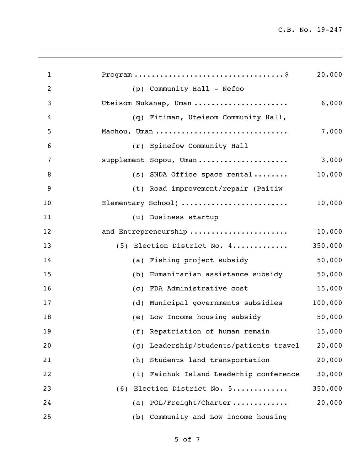| $\mathbf{1}$   |                                            | 20,000  |
|----------------|--------------------------------------------|---------|
| $\overline{2}$ | (p) Community Hall - Nefoo                 |         |
| 3              | Uteisom Nukanap, Uman                      | 6,000   |
| 4              | (q) Fitiman, Uteisom Community Hall,       |         |
| 5              | Machou, Uman                               | 7,000   |
| 6              | (r) Epinefow Community Hall                |         |
| 7              | supplement Sopou, Uman                     | 3,000   |
| 8              | $(s)$ SNDA Office space rental             | 10,000  |
| 9              | (t) Road improvement/repair (Paitiw        |         |
| 10             | Elementary School)                         | 10,000  |
| 11             | (u) Business startup                       |         |
| 12             | and Entrepreneurship                       | 10,000  |
| 13             | (5) Election District No. 4                | 350,000 |
| 14             | (a) Fishing project subsidy                | 50,000  |
| 15             | (b) Humanitarian assistance subsidy        | 50,000  |
| 16             | (c) FDA Administrative cost                | 15,000  |
| 17             | (d) Municipal governments subsidies        | 100,000 |
| 18             | (e) Low Income housing subsidy             | 50,000  |
| 19             | (f) Repatriation of human remain           | 15,000  |
| 20             | Leadership/students/patients travel<br>(g) | 20,000  |
| 21             | Students land transportation<br>(h)        | 20,000  |
| 22             | (i) Faichuk Island Leaderhip conference    | 30,000  |
| 23             | (6) Election District No. 5                | 350,000 |
| 24             | (a) POL/Freight/Charter                    | 20,000  |
| 25             | Community and Low income housing<br>(b)    |         |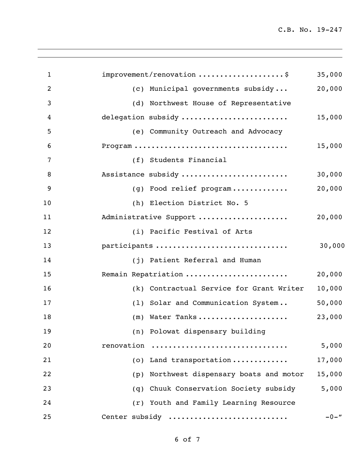| $\mathbf{1}$   | improvement/renovation \$                   | 35,000   |
|----------------|---------------------------------------------|----------|
| $\overline{c}$ | (c) Municipal governments subsidy           | 20,000   |
| 3              | (d) Northwest House of Representative       |          |
| 4              | delegation subsidy                          | 15,000   |
| 5              | (e) Community Outreach and Advocacy         |          |
| 6              |                                             | 15,000   |
| 7              | (f) Students Financial                      |          |
| 8              | Assistance subsidy                          | 30,000   |
| 9              | (g) Food relief program                     | 20,000   |
| 10             | (h) Election District No. 5                 |          |
| 11             | Administrative Support                      | 20,000   |
| 12             | (i) Pacific Festival of Arts                |          |
| 13             | participants                                | 30,000   |
| 14             | (j) Patient Referral and Human              |          |
| 15             | Remain Repatriation                         | 20,000   |
| 16             | (k) Contractual Service for Grant Writer    | 10,000   |
| 17             | (1) Solar and Communication System          | 50,000   |
| 18             | (m) Water Tanks                             | 23,000   |
| 19             | (n) Polowat dispensary building             |          |
| 20             | renovation                                  | 5,000    |
| 21             | (o) Land transportation                     | 17,000   |
| 22             | Northwest dispensary boats and motor<br>(p) | 15,000   |
| 23             | Chuuk Conservation Society subsidy<br>(q)   | 5,000    |
| 24             | (r) Youth and Family Learning Resource      |          |
| 25             | Center subsidy                              | $-0 -$ " |
|                |                                             |          |